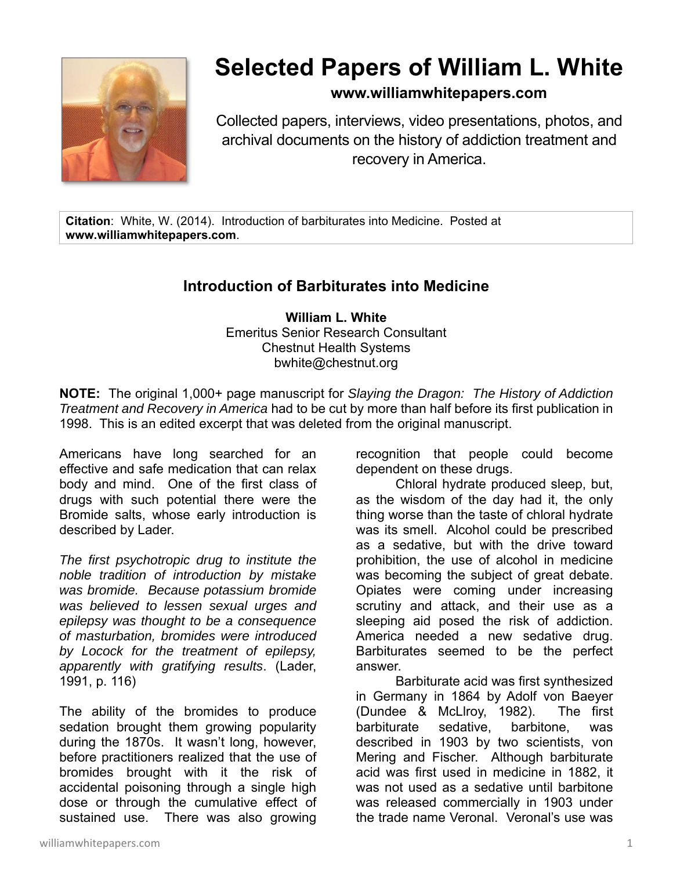

## **Selected Papers of William L. White**

## **www.williamwhitepapers.com**

Collected papers, interviews, video presentations, photos, and archival documents on the history of addiction treatment and recovery in America.

**Citation**: White, W. (2014). Introduction of barbiturates into Medicine. Posted at **www.williamwhitepapers.com**.

## **Introduction of Barbiturates into Medicine**

**William L. White**  Emeritus Senior Research Consultant Chestnut Health Systems bwhite@chestnut.org

**NOTE:** The original 1,000+ page manuscript for *Slaying the Dragon: The History of Addiction Treatment and Recovery in America* had to be cut by more than half before its first publication in 1998. This is an edited excerpt that was deleted from the original manuscript.

Americans have long searched for an effective and safe medication that can relax body and mind. One of the first class of drugs with such potential there were the Bromide salts, whose early introduction is described by Lader.

*The first psychotropic drug to institute the noble tradition of introduction by mistake was bromide. Because potassium bromide was believed to lessen sexual urges and epilepsy was thought to be a consequence of masturbation, bromides were introduced by Locock for the treatment of epilepsy, apparently with gratifying results*. (Lader, 1991, p. 116)

The ability of the bromides to produce sedation brought them growing popularity during the 1870s. It wasn't long, however, before practitioners realized that the use of bromides brought with it the risk of accidental poisoning through a single high dose or through the cumulative effect of sustained use. There was also growing

recognition that people could become dependent on these drugs.

Chloral hydrate produced sleep, but, as the wisdom of the day had it, the only thing worse than the taste of chloral hydrate was its smell. Alcohol could be prescribed as a sedative, but with the drive toward prohibition, the use of alcohol in medicine was becoming the subject of great debate. Opiates were coming under increasing scrutiny and attack, and their use as a sleeping aid posed the risk of addiction. America needed a new sedative drug. Barbiturates seemed to be the perfect answer.

Barbiturate acid was first synthesized in Germany in 1864 by Adolf von Baeyer (Dundee & McLlroy, 1982). The first barbiturate sedative, barbitone, was described in 1903 by two scientists, von Mering and Fischer. Although barbiturate acid was first used in medicine in 1882, it was not used as a sedative until barbitone was released commercially in 1903 under the trade name Veronal. Veronal's use was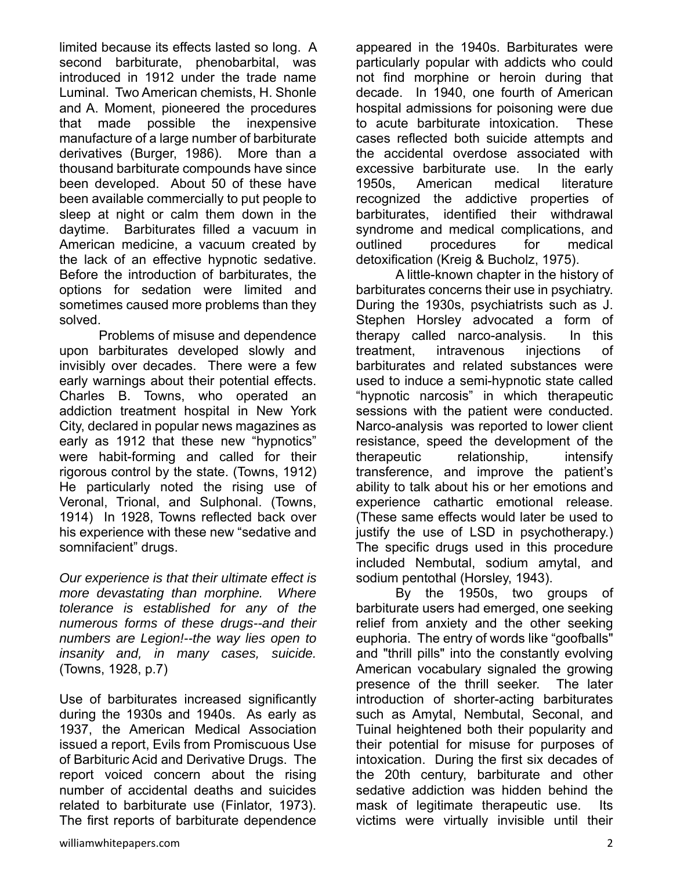limited because its effects lasted so long. A second barbiturate, phenobarbital, was introduced in 1912 under the trade name Luminal. Two American chemists, H. Shonle and A. Moment, pioneered the procedures that made possible the inexpensive manufacture of a large number of barbiturate derivatives (Burger, 1986). More than a thousand barbiturate compounds have since been developed. About 50 of these have been available commercially to put people to sleep at night or calm them down in the daytime. Barbiturates filled a vacuum in American medicine, a vacuum created by the lack of an effective hypnotic sedative. Before the introduction of barbiturates, the options for sedation were limited and sometimes caused more problems than they solved.

Problems of misuse and dependence upon barbiturates developed slowly and invisibly over decades. There were a few early warnings about their potential effects. Charles B. Towns, who operated an addiction treatment hospital in New York City, declared in popular news magazines as early as 1912 that these new "hypnotics" were habit-forming and called for their rigorous control by the state. (Towns, 1912) He particularly noted the rising use of Veronal, Trional, and Sulphonal. (Towns, 1914) In 1928, Towns reflected back over his experience with these new "sedative and somnifacient" drugs.

*Our experience is that their ultimate effect is more devastating than morphine. Where tolerance is established for any of the numerous forms of these drugs--and their numbers are Legion!--the way lies open to insanity and, in many cases, suicide.* (Towns, 1928, p.7)

Use of barbiturates increased significantly during the 1930s and 1940s. As early as 1937, the American Medical Association issued a report, Evils from Promiscuous Use of Barbituric Acid and Derivative Drugs. The report voiced concern about the rising number of accidental deaths and suicides related to barbiturate use (Finlator, 1973). The first reports of barbiturate dependence

appeared in the 1940s. Barbiturates were particularly popular with addicts who could not find morphine or heroin during that decade. In 1940, one fourth of American hospital admissions for poisoning were due to acute barbiturate intoxication. These cases reflected both suicide attempts and the accidental overdose associated with excessive barbiturate use. In the early 1950s, American medical literature recognized the addictive properties of barbiturates, identified their withdrawal syndrome and medical complications, and outlined procedures for medical detoxification (Kreig & Bucholz, 1975).

A little-known chapter in the history of barbiturates concerns their use in psychiatry. During the 1930s, psychiatrists such as J. Stephen Horsley advocated a form of therapy called narco-analysis. In this treatment, intravenous injections of barbiturates and related substances were used to induce a semi-hypnotic state called "hypnotic narcosis" in which therapeutic sessions with the patient were conducted. Narco-analysis was reported to lower client resistance, speed the development of the therapeutic relationship, intensify transference, and improve the patient's ability to talk about his or her emotions and experience cathartic emotional release. (These same effects would later be used to justify the use of LSD in psychotherapy.) The specific drugs used in this procedure included Nembutal, sodium amytal, and sodium pentothal (Horsley, 1943).

By the 1950s, two groups of barbiturate users had emerged, one seeking relief from anxiety and the other seeking euphoria. The entry of words like "goofballs" and "thrill pills" into the constantly evolving American vocabulary signaled the growing presence of the thrill seeker. The later introduction of shorter-acting barbiturates such as Amytal, Nembutal, Seconal, and Tuinal heightened both their popularity and their potential for misuse for purposes of intoxication. During the first six decades of the 20th century, barbiturate and other sedative addiction was hidden behind the mask of legitimate therapeutic use. Its victims were virtually invisible until their